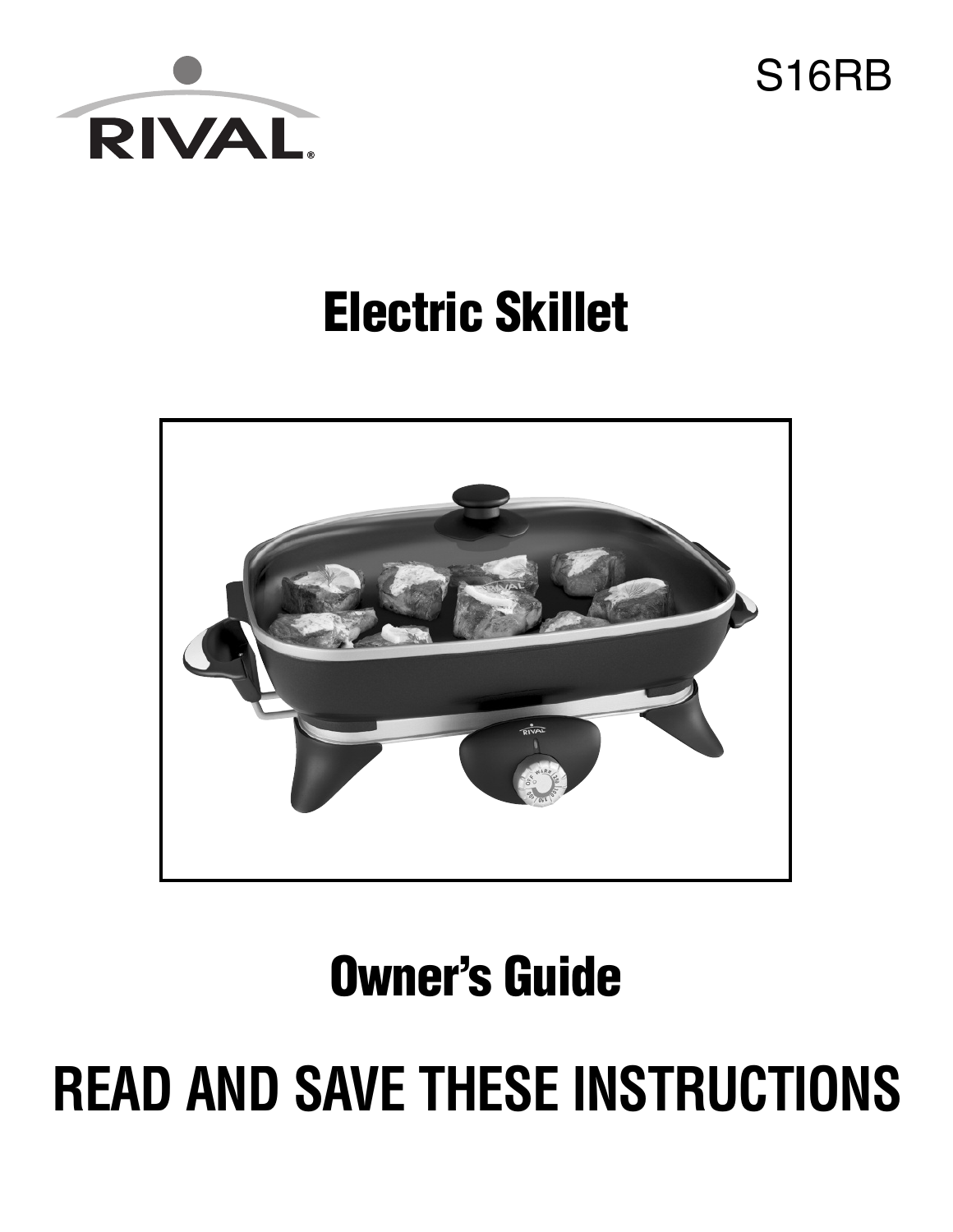

S16RB

### **Electric Skillet**



**Owner's Guide**

# **READ AND SAVE THESE INSTRUCTIONS**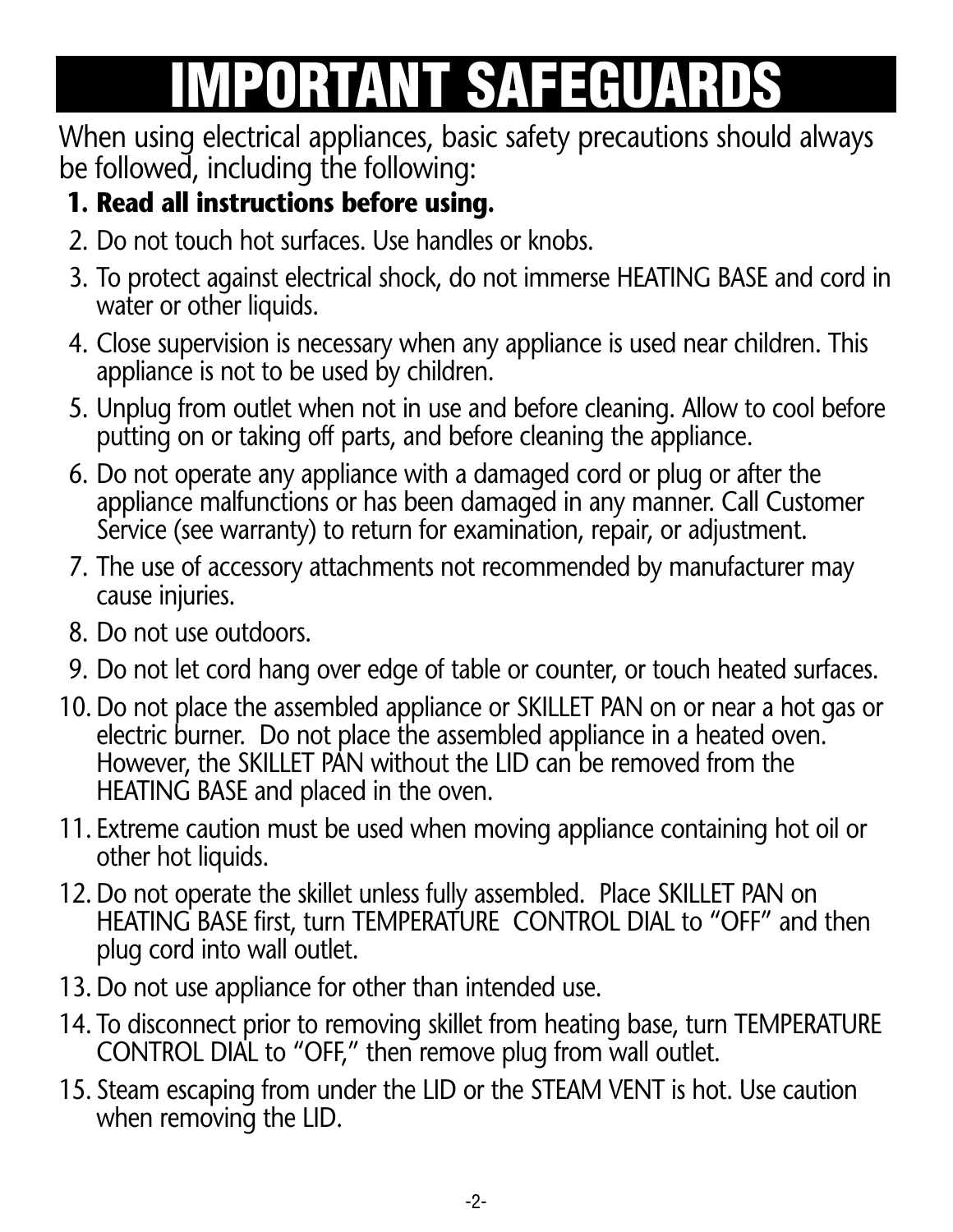# **IMPORTANT SAFEGUARDS**

When using electrical appliances, basic safety precautions should always be followed, including the following:

#### **1. Read all instructions before using.**

- 2. Do not touch hot surfaces. Use handles or knobs.
- 3. To protect against electrical shock, do not immerse HEATING BASE and cord in water or other liquids.
- 4. Close supervision is necessary when any appliance is used near children. This appliance is not to be used by children.
- 5. Unplug from outlet when not in use and before cleaning. Allow to cool before putting on or taking off parts, and before cleaning the appliance.
- 6. Do not operate any appliance with a damaged cord or plug or after the appliance malfunctions or has been damaged in any manner. Call Customer Service (see warranty) to return for examination, repair, or adjustment.
- 7. The use of accessory attachments not recommended by manufacturer may cause injuries.
- 8. Do not use outdoors.
- 9. Do not let cord hang over edge of table or counter, or touch heated surfaces.
- 10. Do not place the assembled appliance or SKILLET PAN on or near a hot gas or electric burner. Do not place the assembled appliance in a heated oven. However, the SKILLET PAN without the LID can be removed from the HEATING BASE and placed in the oven.
- 11. Extreme caution must be used when moving appliance containing hot oil or other hot liquids.
- 12. Do not operate the skillet unless fully assembled. Place SKILLET PAN on HEATING BASE first, turn TEMPERATURE CONTROL DIAL to "OFF" and then plug cord into wall outlet.
- 13. Do not use appliance for other than intended use.
- 14. To disconnect prior to removing skillet from heating base, turn TEMPERATURE CONTROL DIAL to "OFF," then remove plug from wall outlet.
- 15. Steam escaping from under the LID or the STEAM VENT is hot. Use caution when removing the LID.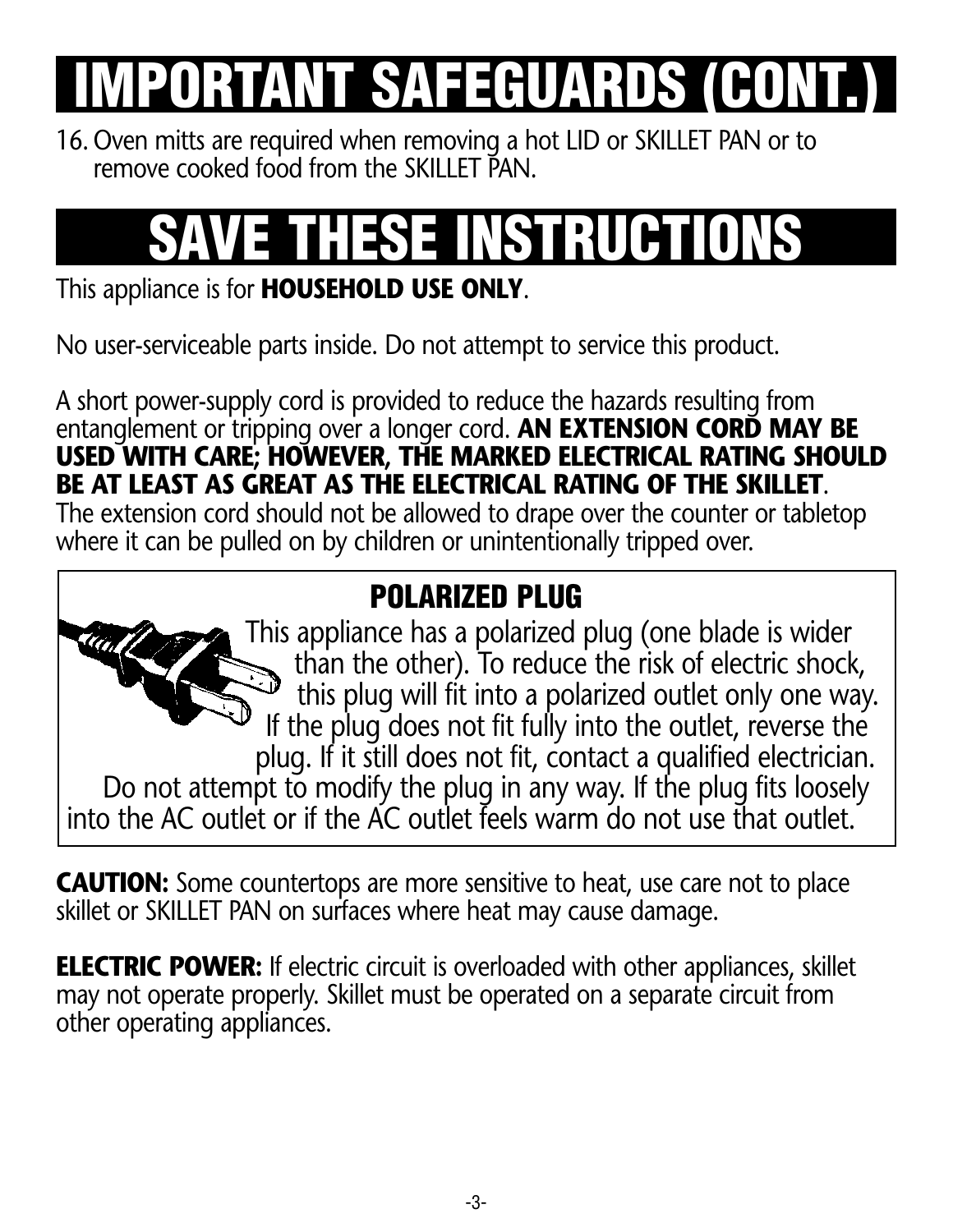# **PORTANT SAFEGUARDS (CON**

16. Oven mitts are required when removing a hot LID or SKILLET PAN or to remove cooked food from the SKILLET PAN.

# **SAVE THESE INSTRUCTIONS**

#### This appliance is for **HOUSEHOLD USE ONLY**.

No user-serviceable parts inside. Do not attempt to service this product.

A short power-supply cord is provided to reduce the hazards resulting from entanglement or tripping over a longer cord. **AN EXTENSION CORD MAY BE USED WITH CARE; HOWEVER, THE MARKED ELECTRICAL RATING SHOULD BE AT LEAST AS GREAT AS THE ELECTRICAL RATING OF THE SKILLET**.

The extension cord should not be allowed to drape over the counter or tabletop where it can be pulled on by children or unintentionally tripped over.

#### **POLARIZED PLUG**

This appliance has a polarized plug (one blade is wider than the other). To reduce the risk of electric shock, this plug will fit into a polarized outlet only one way. If the plug does not fit fully into the outlet, reverse the plug. If it still does not fit, contact a qualified electrician. Do not attempt to modify the plug in any way. If the plug fits loosely into the AC outlet or if the AC outlet feels warm do not use that outlet.

**CAUTION:** Some countertops are more sensitive to heat, use care not to place skillet or SKILLET PAN on surfaces where heat may cause damage.

**ELECTRIC POWER:** If electric circuit is overloaded with other appliances, skillet may not operate properly. Skillet must be operated on a separate circuit from other operating appliances.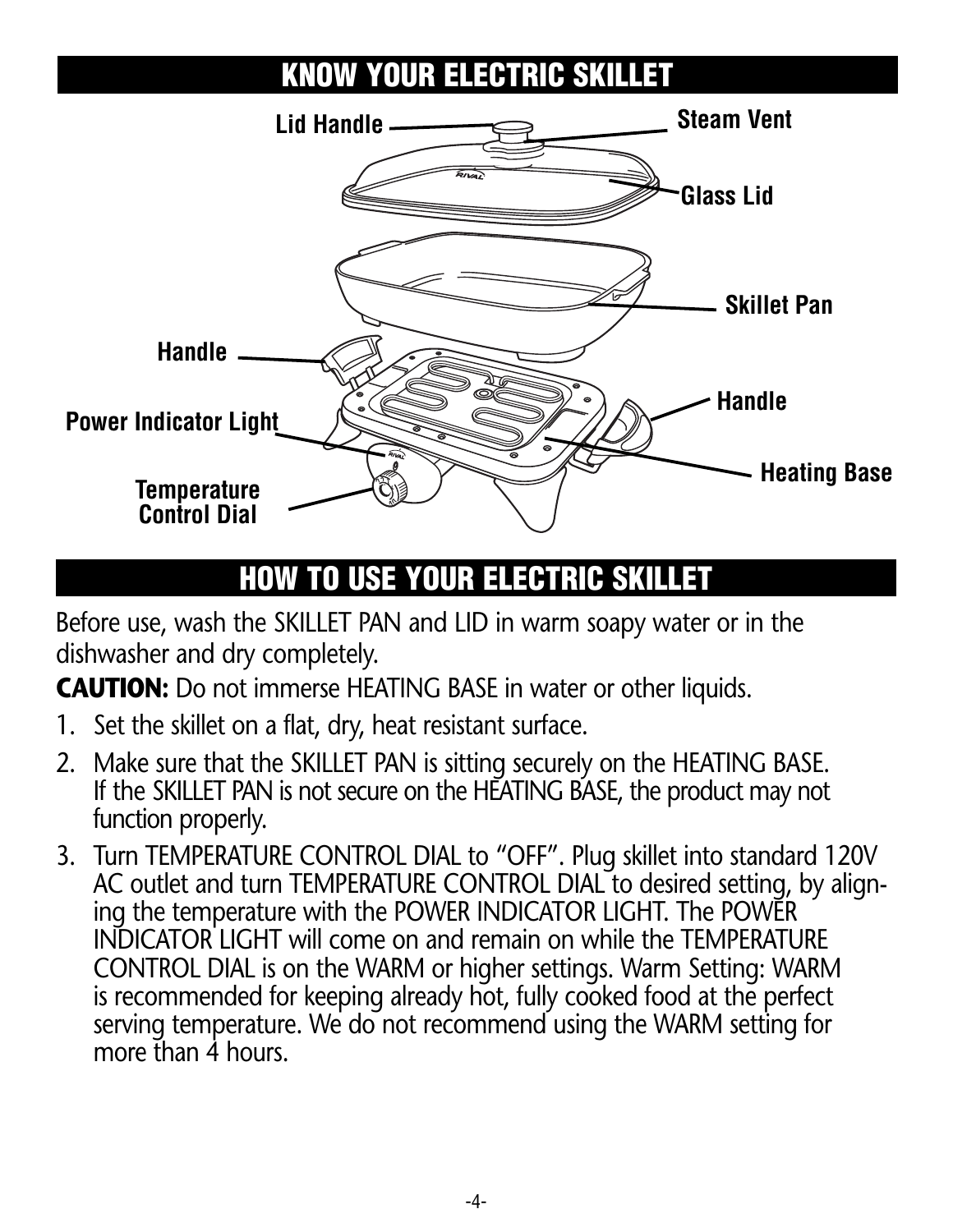### **KNOW YOUR ELECTRIC SKILLET**



### **HOW TO USE YOUR ELECTRIC SKILLET**

Before use, wash the SKILLET PAN and LID in warm soapy water or in the dishwasher and dry completely.

**CAUTION:** Do not immerse HEATING BASE in water or other liquids.

- 1. Set the skillet on a flat, dry, heat resistant surface.
- 2. Make sure that the SKILLET PAN is sitting securely on the HEATING BASE. If the SKILLET PAN is not secure on the HEATING BASE, the product may not function properly.
- 3. Turn TEMPERATURE CONTROL DIAL to "OFF". Plug skillet into standard 120V AC outlet and turn TEMPERATURE CONTROL DIAL to desired setting, by aligning the temperature with the POWER INDICATOR LIGHT. The POWER INDICATOR LIGHT will come on and remain on while the TEMPERATURE CONTROL DIAL is on the WARM or higher settings. Warm Setting: WARM is recommended for keeping already hot, fully cooked food at the perfect serving temperature. We do not recommend using the WARM setting for more than 4 hours.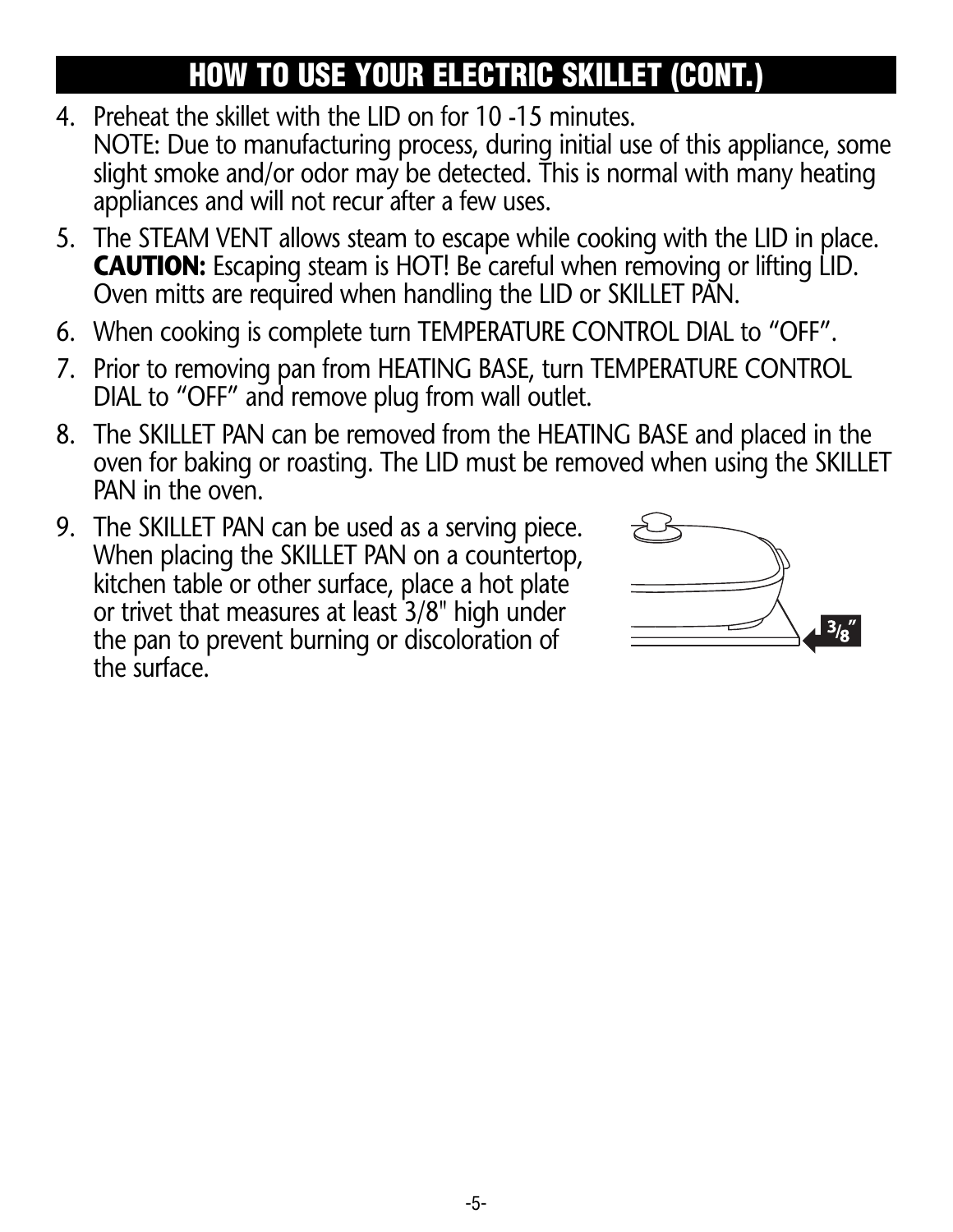### **HOW TO USE YOUR ELECTRIC SKILLET (CONT.)**

- 4. Preheat the skillet with the LID on for 10 -15 minutes. NOTE: Due to manufacturing process, during initial use of this appliance, some slight smoke and/or odor may be detected. This is normal with many heating appliances and will not recur after a few uses.
- 5. The STEAM VENT allows steam to escape while cooking with the LID in place. **CAUTION:** Escaping steam is HOT! Be careful when removing or lifting LID. Oven mitts are required when handling the LID or SKILLET PAN.
- 6. When cooking is complete turn TEMPERATURE CONTROL DIAL to "OFF".
- 7. Prior to removing pan from HEATING BASE, turn TEMPERATURE CONTROL DIAL to "OFF" and remove plug from wall outlet.
- 8. The SKILLET PAN can be removed from the HEATING BASE and placed in the oven for baking or roasting. The LID must be removed when using the SKILLET PAN in the oven.
- 9. The SKILLET PAN can be used as a serving piece. When placing the SKILLET PAN on a countertop, kitchen table or other surface, place a hot plate or trivet that measures at least 3/8" high under the pan to prevent burning or discoloration of the surface.

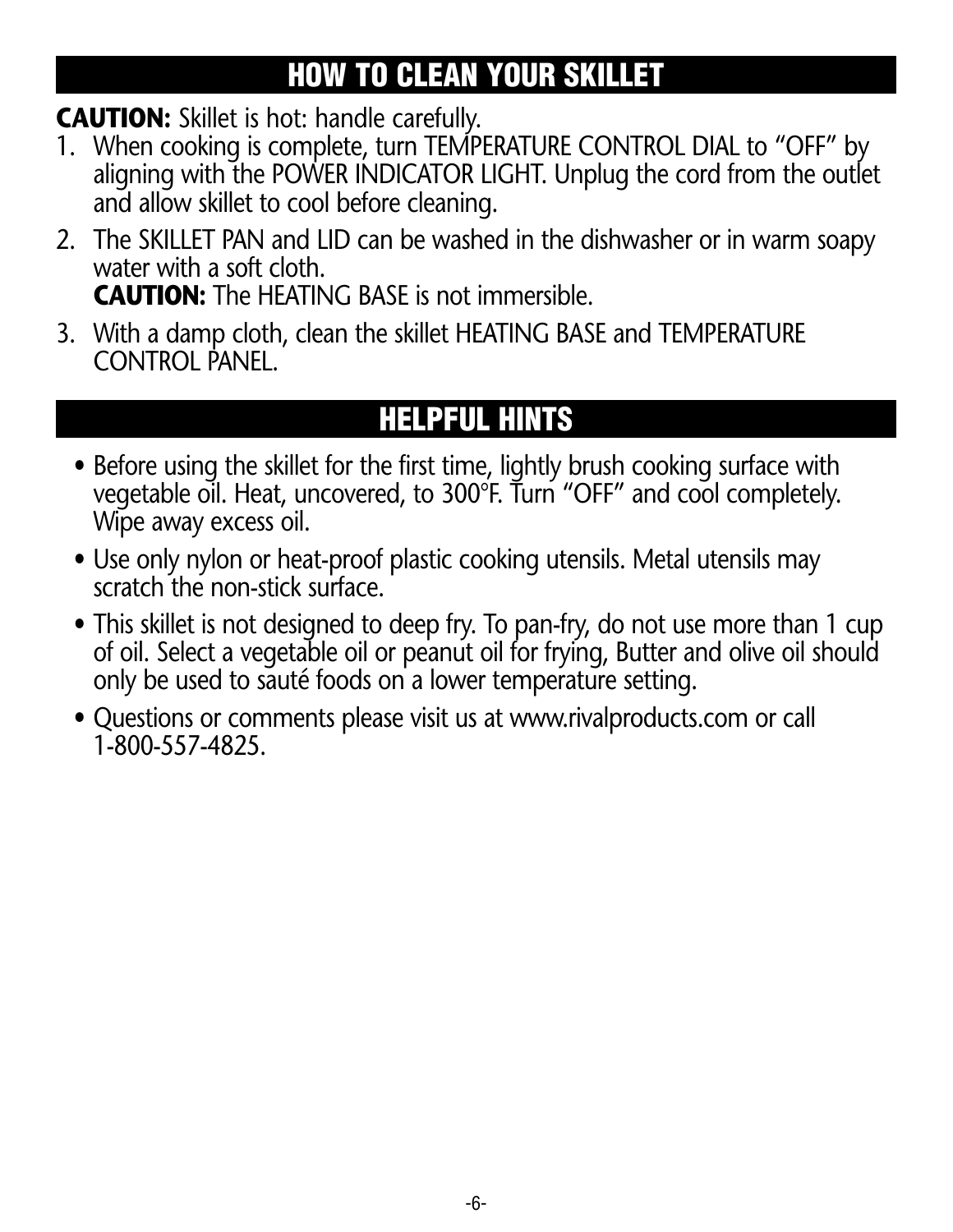#### **HOW TO CLEAN YOUR SKILLET**

**CAUTION:** Skillet is hot: handle carefully.

- 1. When cooking is complete, turn TEMPERATURE CONTROL DIAL to "OFF" by aligning with the POWER INDICATOR LIGHT. Unplug the cord from the outlet and allow skillet to cool before cleaning.
- 2. The SKILLET PAN and LID can be washed in the dishwasher or in warm soapy water with a soft cloth. **CAUTION:** The HEATING BASE is not immersible.
- 3. With a damp cloth, clean the skillet HEATING BASE and TEMPERATURE CONTROL PANEL.

### **HELPFUL HINTS**

- Before using the skillet for the first time, lightly brush cooking surface with vegetable oil. Heat, uncovered, to 300°F. Turn "OFF" and cool completely. Wipe away excess oil.
- Use only nylon or heat-proof plastic cooking utensils. Metal utensils may scratch the non-stick surface.
- This skillet is not designed to deep fry. To pan-fry, do not use more than 1 cup of oil. Select a vegetable oil or peanut oil for frying, Butter and olive oil should only be used to sauté foods on a lower temperature setting.
- Questions or comments please visit us at www.rivalproducts.com or call 1-800-557-4825.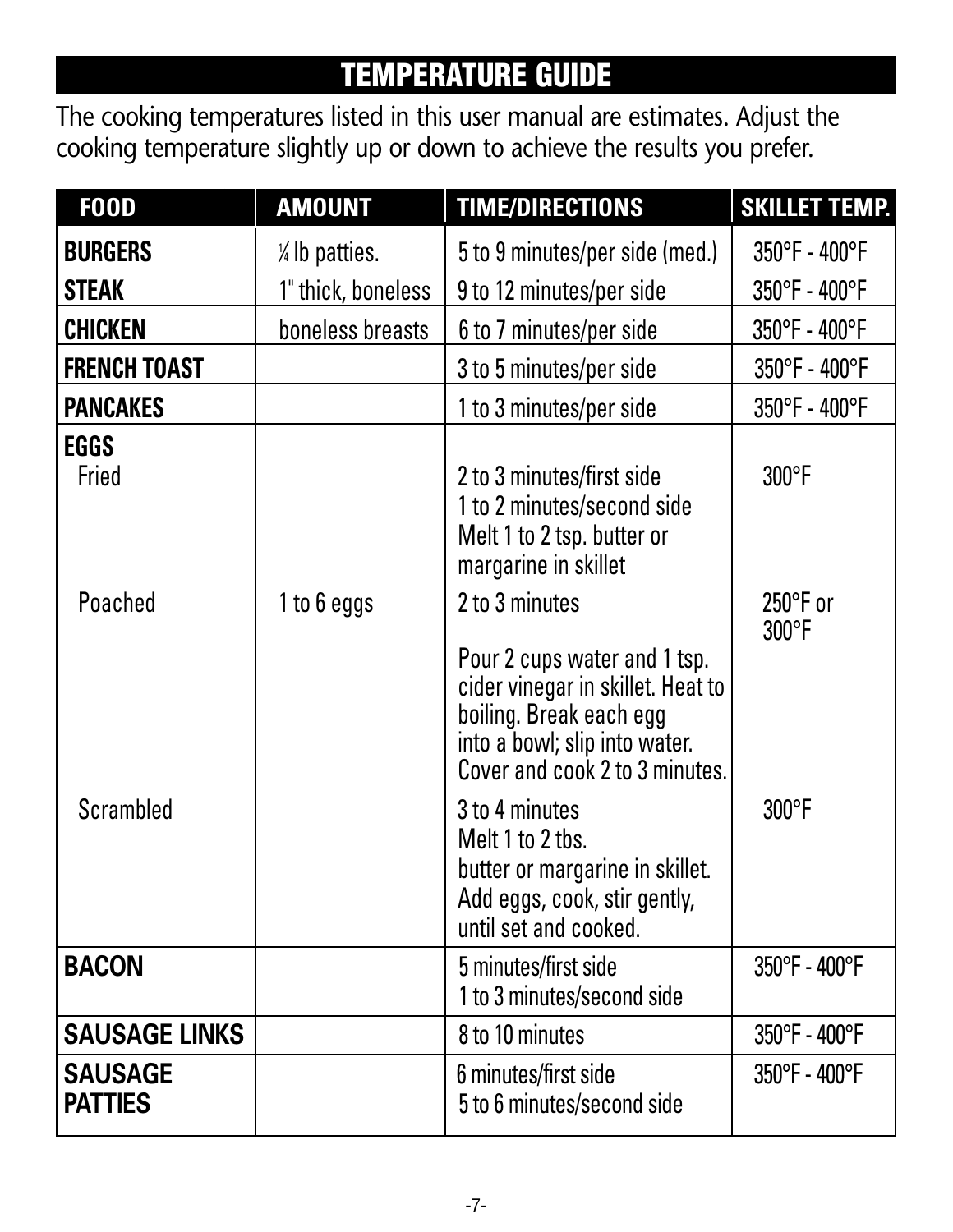#### **TEMPERATURE GUIDE**

The cooking temperatures listed in this user manual are estimates. Adjust the cooking temperature slightly up or down to achieve the results you prefer.

| <b>F00D</b>                      | <b>AMOUNT</b>      | <b>TIME/DIRECTIONS</b>                                                                                                                                          | <b>SKILLET TEMP.</b> |
|----------------------------------|--------------------|-----------------------------------------------------------------------------------------------------------------------------------------------------------------|----------------------|
| <b>BURGERS</b>                   | /4 lb patties.     | 5 to 9 minutes/per side (med.)                                                                                                                                  | 350°F - 400°F        |
| <b>STEAK</b>                     | 1" thick, boneless | 9 to 12 minutes/per side                                                                                                                                        | 350°F - 400°F        |
| CHICKEN                          | boneless breasts   | 6 to 7 minutes/per side                                                                                                                                         | 350°F - 400°F        |
| <b>FRENCH TOAST</b>              |                    | 3 to 5 minutes/per side                                                                                                                                         | 350°F - 400°F        |
| <b>PANCAKES</b>                  |                    | 1 to 3 minutes/per side                                                                                                                                         | 350°F - 400°F        |
| EGGS<br>Fried                    |                    | 2 to 3 minutes/first side<br>1 to 2 minutes/second side<br>Melt 1 to 2 tsp. butter or<br>margarine in skillet                                                   | 300°F                |
| Poached                          | 1 to 6 eggs        | 2 to 3 minutes                                                                                                                                                  | 250°F or<br>300°F    |
|                                  |                    | Pour 2 cups water and 1 tsp.<br>cider vinegar in skillet. Heat to<br>boiling. Break each egg<br>into a bowl; slip into water.<br>Cover and cook 2 to 3 minutes. |                      |
| Scrambled                        |                    | 3 to 4 minutes<br>Melt 1 to 2 tbs.<br>butter or margarine in skillet.<br>Add eggs, cook, stir gently,<br>until set and cooked.                                  | 300°F                |
| <b>BACON</b>                     |                    | 5 minutes/first side<br>1 to 3 minutes/second side                                                                                                              | 350°F - 400°F        |
| <b>SAUSAGE LINKS</b>             |                    | 8 to 10 minutes                                                                                                                                                 | 350°F - 400°F        |
| <b>SAUSAGE</b><br><b>PATTIES</b> |                    | 6 minutes/first side<br>5 to 6 minutes/second side                                                                                                              | 350°F - 400°F        |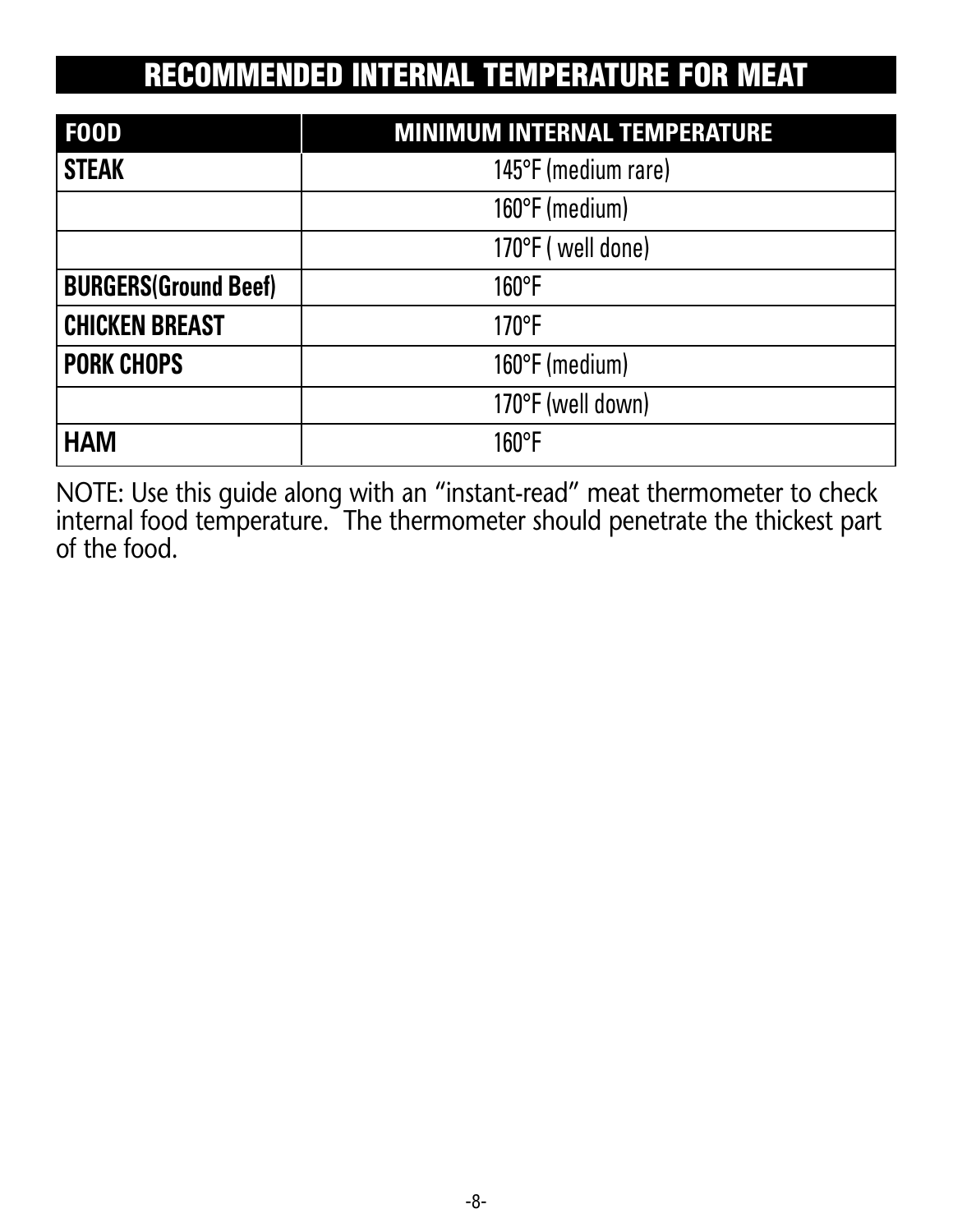#### **RECOMMENDED INTERNAL TEMPERATURE FOR MEAT**

| <b>FOOD</b>                 | <b>MINIMUM INTERNAL TEMPERATURE</b> |  |
|-----------------------------|-------------------------------------|--|
| <b>STEAK</b>                | 145°F (medium rare)                 |  |
|                             | 160°F (medium)                      |  |
|                             | 170°F (well done)                   |  |
| <b>BURGERS(Ground Beef)</b> | $160^{\circ}$ F                     |  |
| <b>CHICKEN BREAST</b>       | 170°F                               |  |
| <b>PORK CHOPS</b>           | 160°F (medium)                      |  |
|                             | 170°F (well down)                   |  |
| <b>HAM</b>                  | $160^{\circ}$ F                     |  |

NOTE: Use this guide along with an "instant-read" meat thermometer to check internal food temperature. The thermometer should penetrate the thickest part of the food.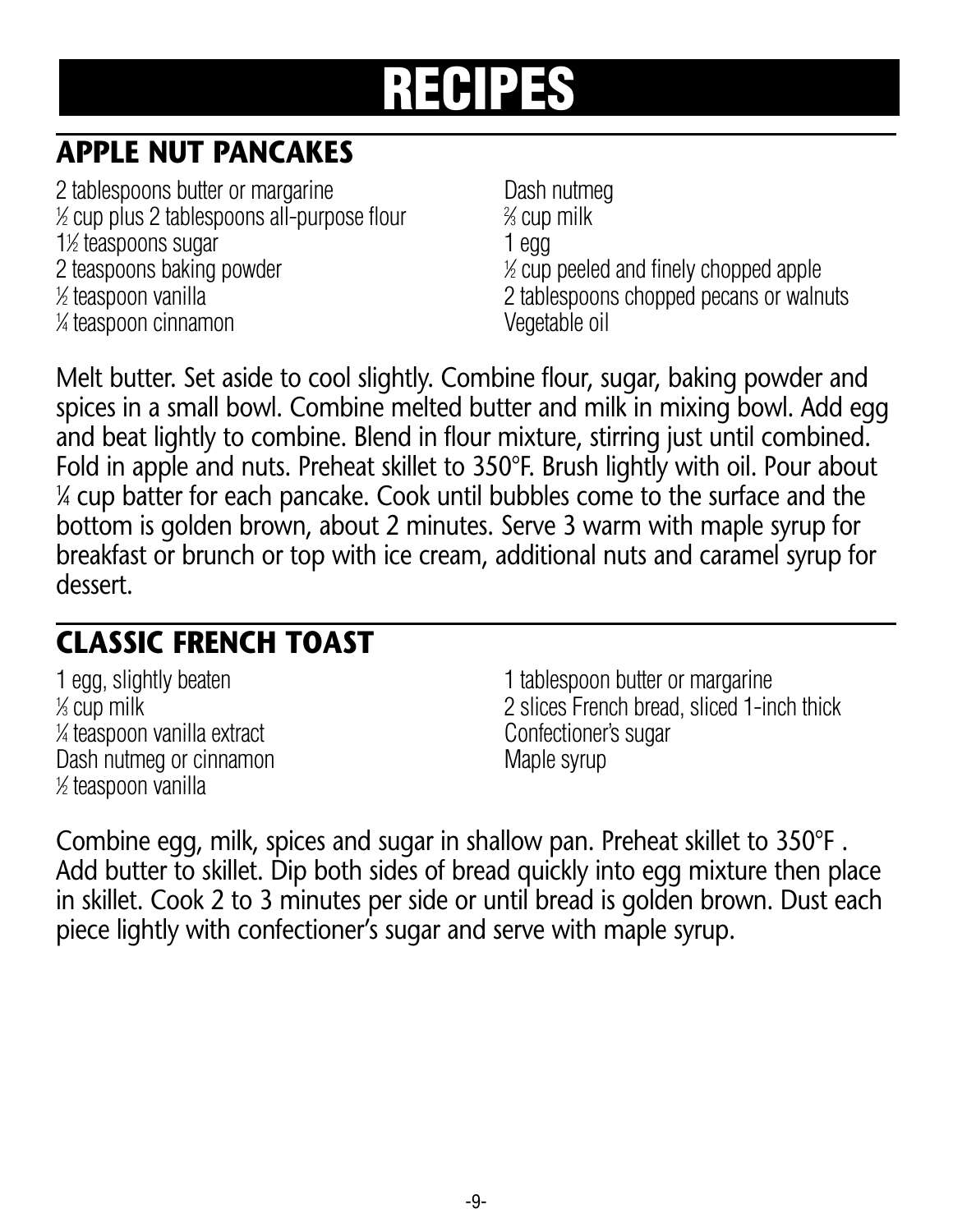#### **APPLE NUT PANCAKES**

2 tablespoons butter or margarine **Dash nutmeguare Dash nutmeguare** Dash nutmeguare Dash nutmeguare 2 1 ⁄2 cup plus 2 tablespoons all-purpose flour <sup>2</sup> 1<sup>/2</sup> teaspoons sugar 1 egg and 1 egg and 1 egg and 1 egg and 1 egg and 1 egg and 1 egg and 1 egg and 1 egg and 1 egg and 1 egg and 1 egg and 1 egg and 1 egg and 1 egg and 1 egg and 1 egg and 1 egg and 1 egg and 1 egg and 2 teaspoons baking powder 1/2 teaspoon vanilla 1 ⁄4 teaspoon cinnamon Vegetable oil

⁄3 cup milk ⁄2 cup peeled and finely chopped apple 2 tablespoons chopped pecans or walnuts

Melt butter. Set aside to cool slightly. Combine flour, sugar, baking powder and spices in a small bowl. Combine melted butter and milk in mixing bowl. Add egg and beat lightly to combine. Blend in flour mixture, stirring just until combined. Fold in apple and nuts. Preheat skillet to 350°F. Brush lightly with oil. Pour about 1 ⁄4 cup batter for each pancake. Cook until bubbles come to the surface and the bottom is golden brown, about 2 minutes. Serve 3 warm with maple syrup for breakfast or brunch or top with ice cream, additional nuts and caramel syrup for dessert.

#### **CLASSIC FRENCH TOAST**

 $%$  cup milk <sup>1/4</sup> teaspoon vanilla extract confectioner's sugar Dash nutmeg or cinnamon metal was made syrup 1 ⁄2 teaspoon vanilla

1 egg, slightly beaten 1 tablespoon butter or margarine 2 slices French bread, sliced 1-inch thick

Combine egg, milk, spices and sugar in shallow pan. Preheat skillet to 350°F . Add butter to skillet. Dip both sides of bread quickly into egg mixture then place in skillet. Cook 2 to 3 minutes per side or until bread is golden brown. Dust each piece lightly with confectioner's sugar and serve with maple syrup.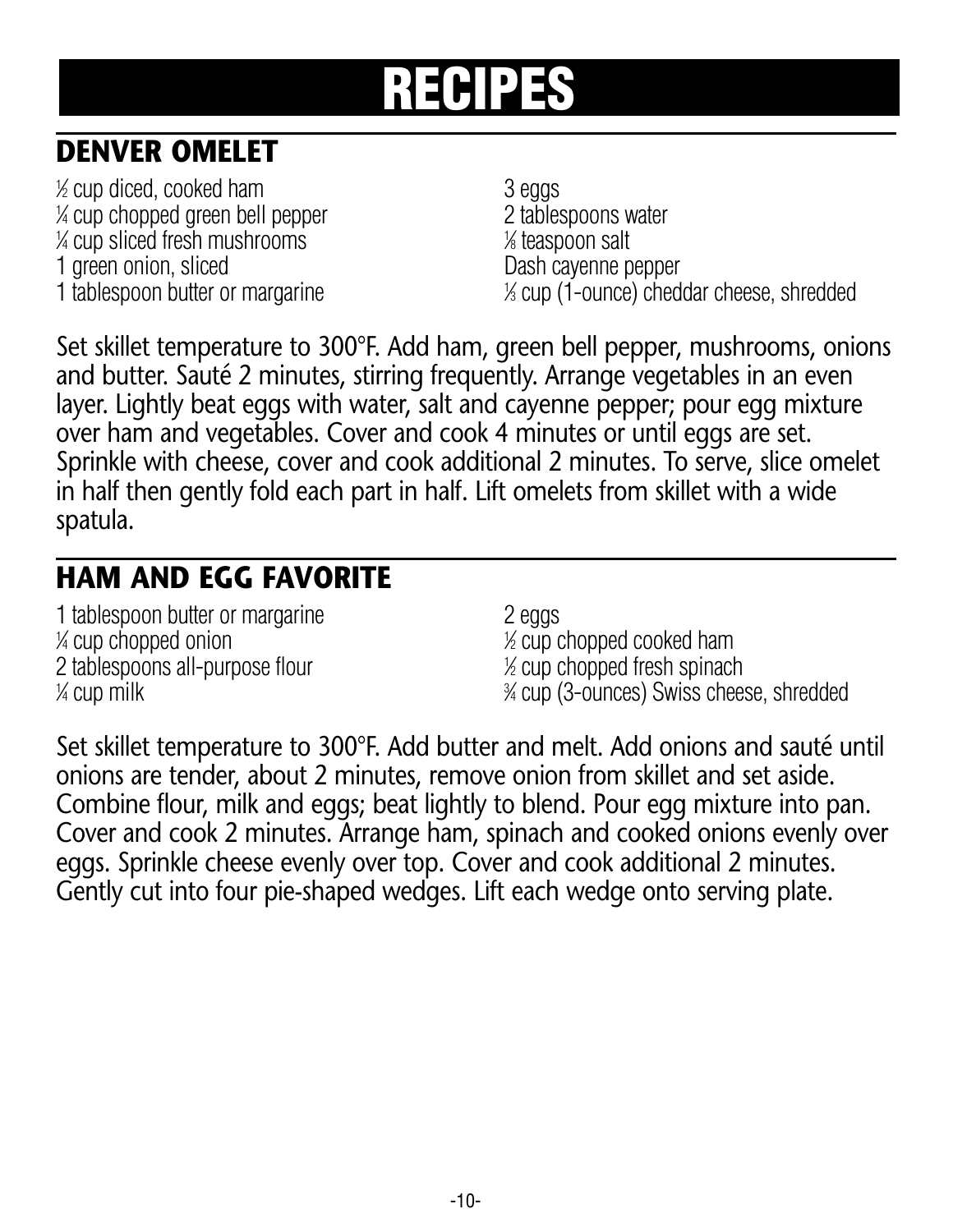#### **DENVER OMELET**

1 ⁄2 cup diced, cooked ham 3 eggs 1 ⁄4 cup chopped green bell pepper 2 tablespoons water 1 ⁄4 cup sliced fresh mushrooms <sup>1</sup> 1 green onion, sliced and Dash cayenne pepper 1 tablespoon butter or margarine

⁄8 teaspoon salt ⁄3 cup (1-ounce) cheddar cheese, shredded

Set skillet temperature to 300°F. Add ham, green bell pepper, mushrooms, onions and butter. Sauté 2 minutes, stirring frequently. Arrange vegetables in an even layer. Lightly beat eggs with water, salt and cayenne pepper; pour egg mixture over ham and vegetables. Cover and cook 4 minutes or until eggs are set. Sprinkle with cheese, cover and cook additional 2 minutes. To serve, slice omelet in half then gently fold each part in half. Lift omelets from skillet with a wide spatula.

#### **HAM AND EGG FAVORITE**

1 tablespoon butter or margarine 2 eggs  $\frac{1}{4}$  cup chopped onion 1 2 tablespoons all-purpose flour <sup>1</sup>  $\frac{1}{4}$  cup milk  $\frac{3}{4}$ 

⁄2 cup chopped cooked ham  $%$  cup chopped fresh spinach ⁄4 cup (3-ounces) Swiss cheese, shredded

Set skillet temperature to 300°F. Add butter and melt. Add onions and sauté until onions are tender, about 2 minutes, remove onion from skillet and set aside. Combine flour, milk and eggs; beat lightly to blend. Pour egg mixture into pan. Cover and cook 2 minutes. Arrange ham, spinach and cooked onions evenly over eggs. Sprinkle cheese evenly over top. Cover and cook additional 2 minutes. Gently cut into four pie-shaped wedges. Lift each wedge onto serving plate.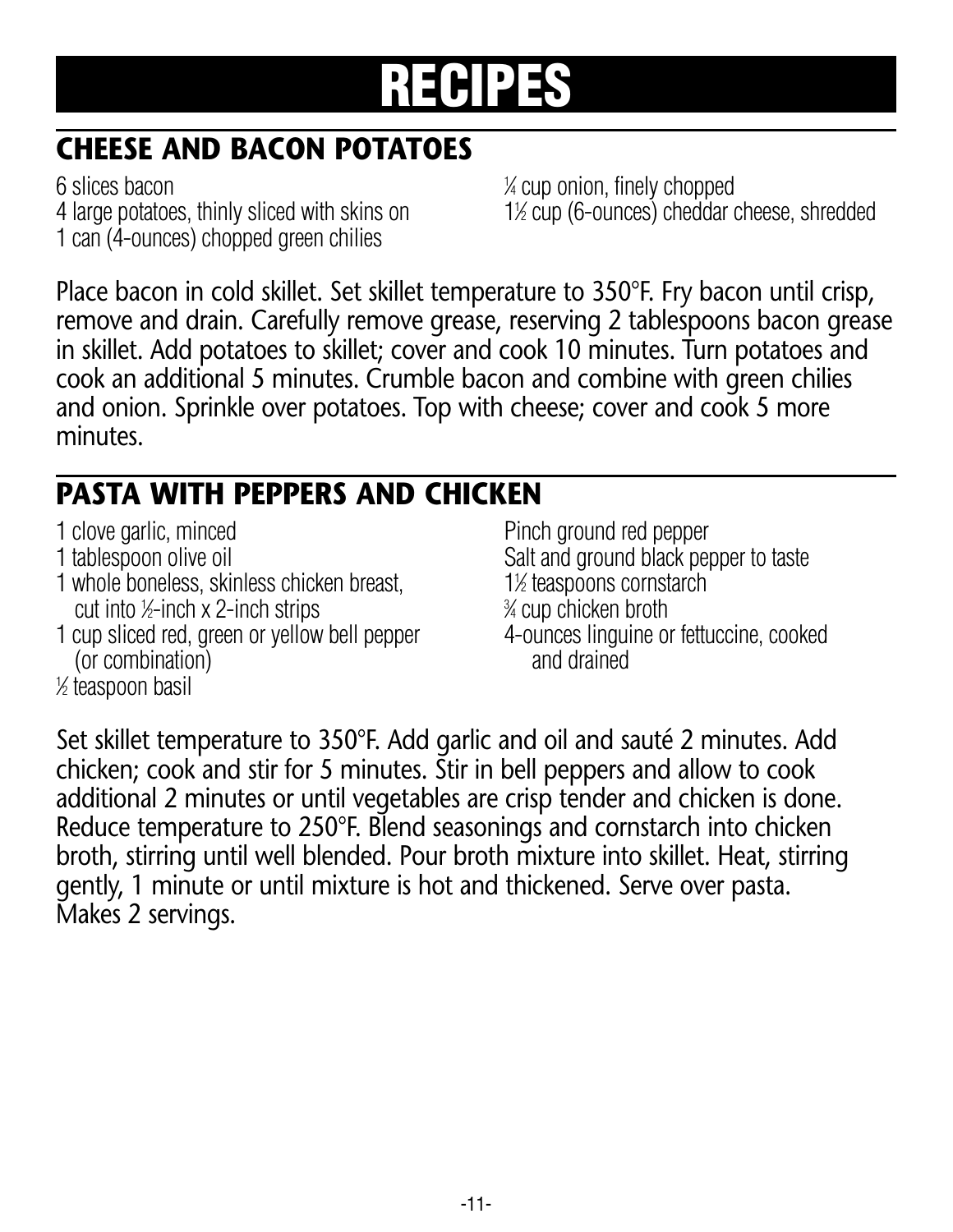#### **CHEESE AND BACON POTATOES**

6 slices bacon <sup>1</sup> 4 large potatoes, thinly sliced with skins on 1 can (4-ounces) chopped green chilies

⁄4 cup onion, finely chopped ⁄2 cup (6-ounces) cheddar cheese, shredded

Place bacon in cold skillet. Set skillet temperature to 350°F. Fry bacon until crisp, remove and drain. Carefully remove grease, reserving 2 tablespoons bacon grease in skillet. Add potatoes to skillet; cover and cook 10 minutes. Turn potatoes and cook an additional 5 minutes. Crumble bacon and combine with green chilies and onion. Sprinkle over potatoes. Top with cheese; cover and cook 5 more minutes.

#### **PASTA WITH PEPPERS AND CHICKEN**

1 clove garlic, minced **Pinch** ground red pepper 1 tablespoon olive oil Salt and ground black pepper to taste 1 whole boneless, skinless chicken breast, 11 cut into  $\frac{1}{2}$ -inch x 2-inch strips  $\frac{3}{2}$ 1 cup sliced red, green or yellow bell pepper 4-ounces linguine or fettuccine, cooked (or combination) and drained

1 ⁄2 teaspoon basil

⁄2 teaspoons cornstarch ⁄4 cup chicken broth

Set skillet temperature to 350°F. Add garlic and oil and sauté 2 minutes. Add chicken; cook and stir for 5 minutes. Stir in bell peppers and allow to cook additional 2 minutes or until vegetables are crisp tender and chicken is done. Reduce temperature to 250°F. Blend seasonings and cornstarch into chicken broth, stirring until well blended. Pour broth mixture into skillet. Heat, stirring gently, 1 minute or until mixture is hot and thickened. Serve over pasta. Makes 2 servings.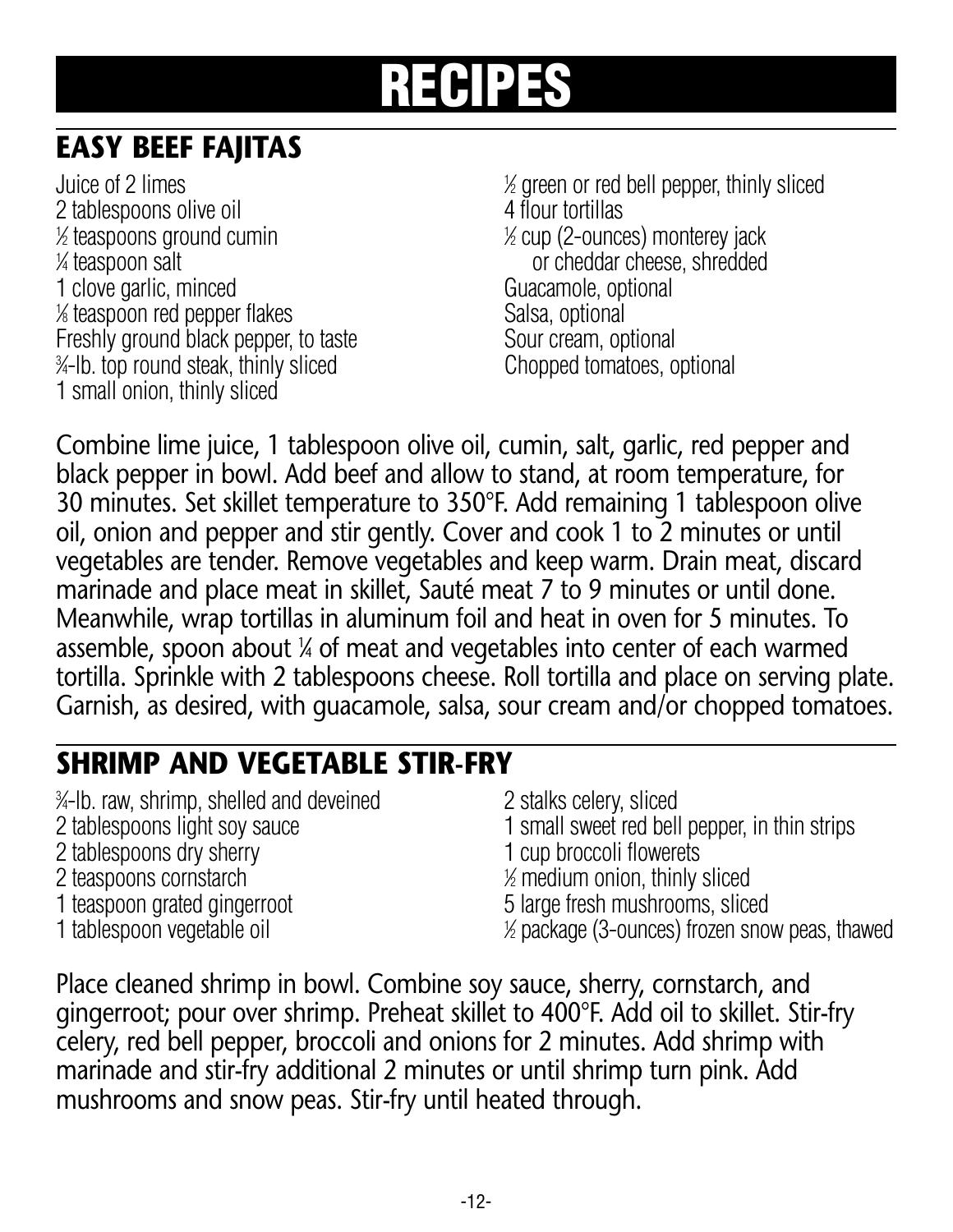#### **EASY BEEF FAJITAS**

Juice of 2 limes 2 tablespoons olive oil 4 flour tortillas  $\frac{1}{2}$  teaspoons ground cumin  $\frac{1}{2}$ 1/<sub>4</sub> teaspoon salt 1 clove garlic, minced Guacamole, optional % teaspoon red pepper flakes Salsa, optional Freshly ground black pepper, to taste Sour cream, optional 3 ⁄4-lb. top round steak, thinly sliced Chopped tomatoes, optional 1 small onion, thinly sliced

⁄2 green or red bell pepper, thinly sliced ⁄2 cup (2-ounces) monterey jack or cheddar cheese, shredded

Combine lime juice, 1 tablespoon olive oil, cumin, salt, garlic, red pepper and black pepper in bowl. Add beef and allow to stand, at room temperature, for 30 minutes. Set skillet temperature to 350°F. Add remaining 1 tablespoon olive oil, onion and pepper and stir gently. Cover and cook 1 to 2 minutes or until vegetables are tender. Remove vegetables and keep warm. Drain meat, discard marinade and place meat in skillet, Sauté meat 7 to 9 minutes or until done. Meanwhile, wrap tortillas in aluminum foil and heat in oven for 5 minutes. To assemble, spoon about ¼ of meat and vegetables into center of each warmed tortilla. Sprinkle with 2 tablespoons cheese. Roll tortilla and place on serving plate. Garnish, as desired, with guacamole, salsa, sour cream and/or chopped tomatoes.

#### **SHRIMP AND VEGETABLE STIR-FRY**

3 ⁄4-lb. raw, shrimp, shelled and deveined 2 stalks celery, sliced 2 tablespoons light soy sauce 1 small sweet red bell pepper, in thin strips 2 tablespoons dry sherry 1 cup broccoli flowerets 2 teaspoons cornstarch <sup>1</sup> ⁄2 medium onion, thinly sliced 1 teaspoon grated gingerroot 5 large fresh mushrooms, sliced 1 tablespoon vegetable oil ⁄2 package(3-ounces) frozen snow peas, thawed

Place cleaned shrimp in bowl. Combine soy sauce, sherry, cornstarch, and gingerroot; pour over shrimp. Preheat skillet to 400°F. Add oil to skillet. Stir-fry celery, red bell pepper, broccoli and onions for 2 minutes. Add shrimp with marinade and stir-fry additional 2 minutes or until shrimp turn pink. Add mushrooms and snow peas. Stir-fry until heated through.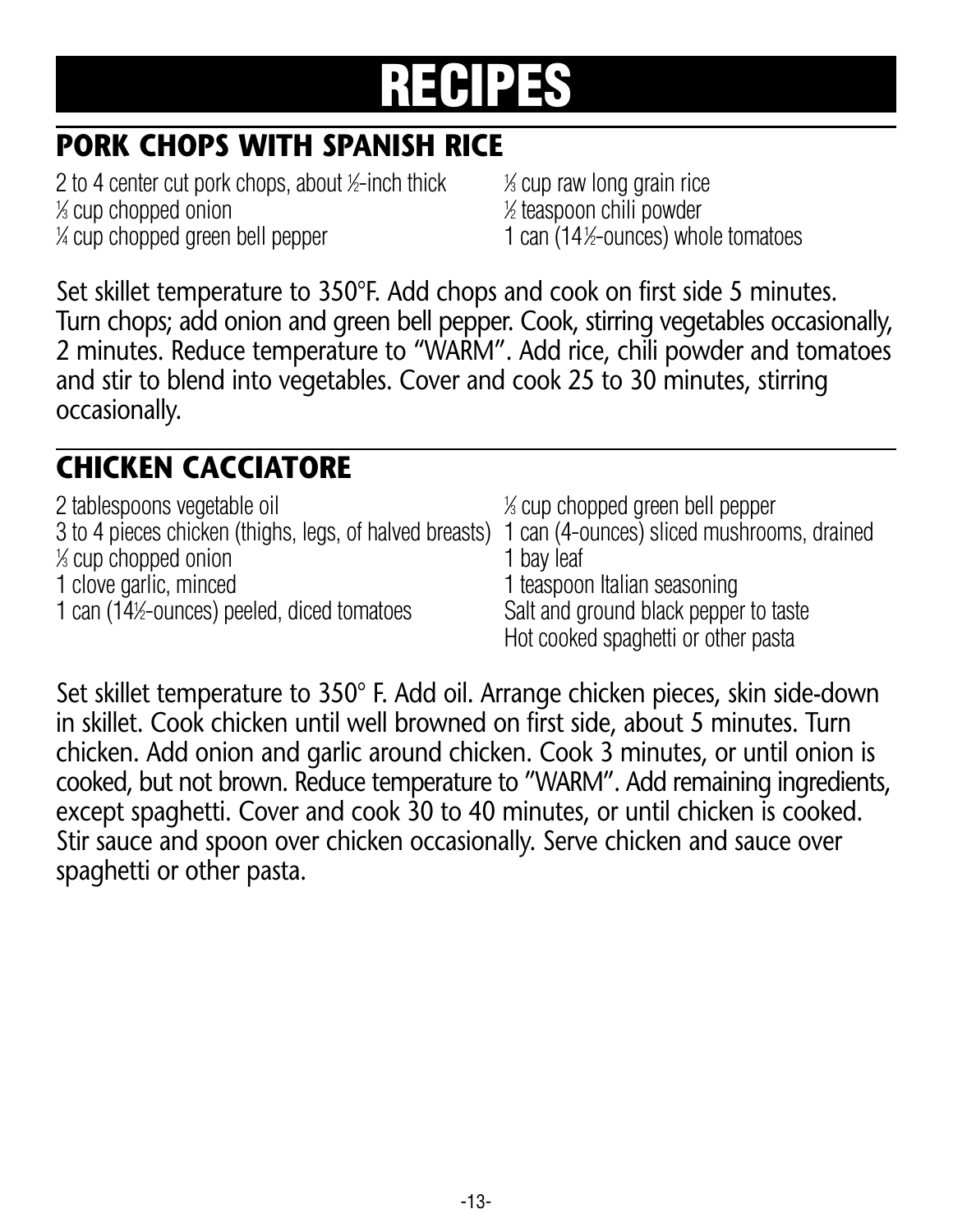#### **PORK CHOPS WITH SPANISH RICE**

2 to 4 center cut pork chops, about ½-inch thick  $\frac{1}{2}$  $\frac{1}{2}$  cup chopped onion  $\frac{1}{2}$  $\frac{1}{4}$  cup chopped green bell pepper  $1$  can (14)

⁄3 cup raw long grain rice ⁄2 teaspoon chili powder ⁄2-ounces) whole tomatoes

Set skillet temperature to 350°F. Add chops and cook on first side 5 minutes. Turn chops; add onion and green bell pepper. Cook, stirring vegetables occasionally, 2 minutes. Reduce temperature to "WARM". Add rice, chili powder and tomatoes and stir to blend into vegetables. Cover and cook 25 to 30 minutes, stirring occasionally.

#### **CHICKEN CACCIATORE**

| 2 tablespoons vegetable oil                                                                        | % cup chopped green bell pepper       |
|----------------------------------------------------------------------------------------------------|---------------------------------------|
| 3 to 4 pieces chicken (thighs, legs, of halved breasts) 1 can (4-ounces) sliced mushrooms, drained |                                       |
| % cup chopped onion                                                                                | 1 bay leaf                            |
| 1 clove garlic, minced                                                                             | 1 teaspoon Italian seasoning          |
| 1 can (14½-ounces) peeled, diced tomatoes                                                          | Salt and ground black pepper to taste |
|                                                                                                    | Hot cooked spaghetti or other pasta   |

Set skillet temperature to 350° F. Add oil. Arrange chicken pieces, skin side-down in skillet. Cook chicken until well browned on first side, about 5 minutes. Turn chicken. Add onion and garlic around chicken. Cook 3 minutes, or until onion is cooked, but not brown. Reduce temperature to "WARM". Add remaining ingredients, except spaghetti. Cover and cook 30 to 40 minutes, or until chicken is cooked. Stir sauce and spoon over chicken occasionally. Serve chicken and sauce over spaghetti or other pasta.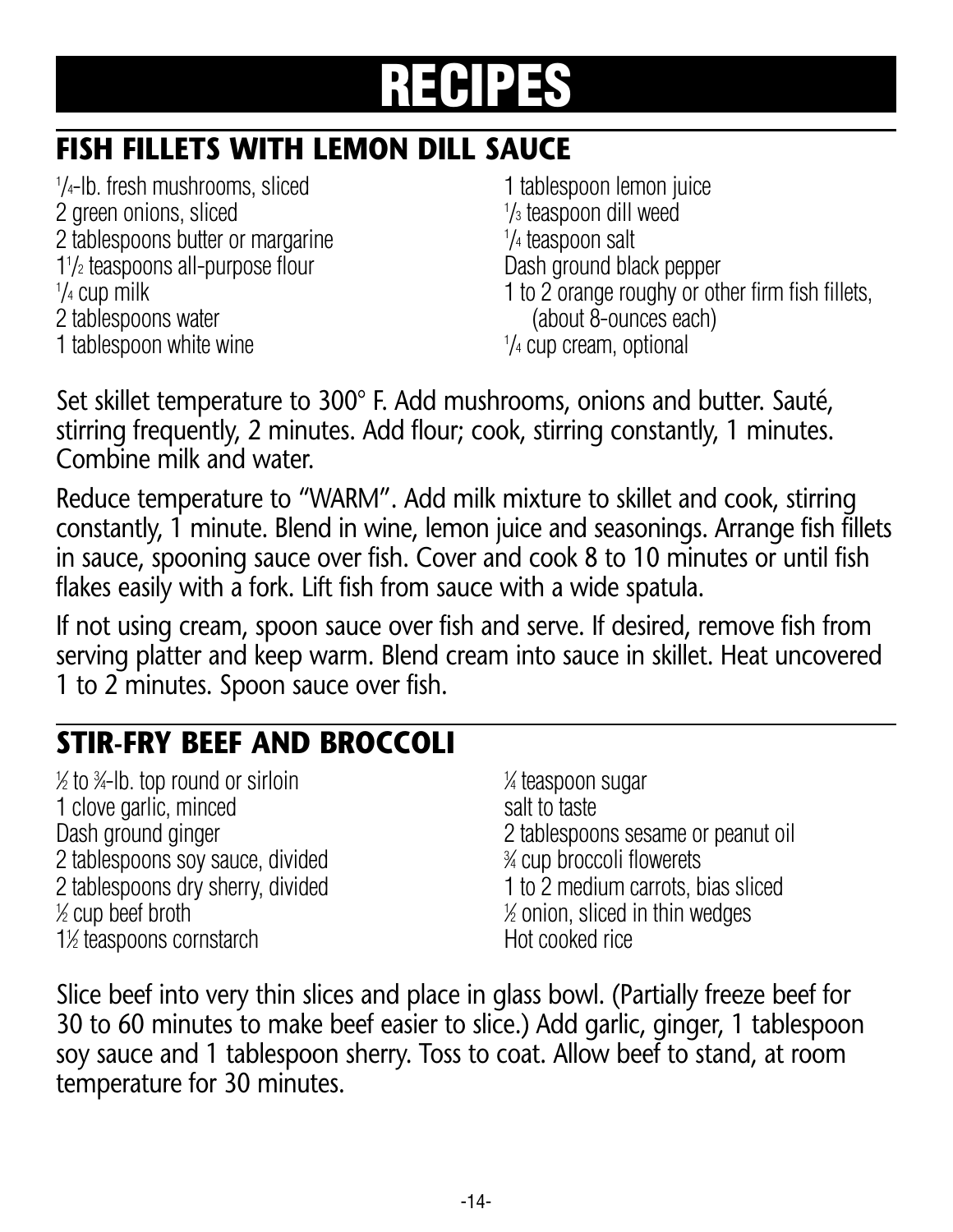#### **FISH FILLETS WITH LEMON DILL SAUCE**

<sup>1</sup>/<sub>4</sub>-lb. fresh mushrooms, sliced 1 tablespoon lemon juice 2 green onions, sliced 2 tablespoons butter or margarine 1<sup>1</sup>/<sub>2</sub> teaspoons all-purpose flour and the Dash ground black pepper  $1/4$  cup milk 2 tablespoons water (about 8-ounces each) 1 tablespoon white wine

1/<sub>3</sub> teaspoon dill weed /4 teaspoon salt 1 to 2 orange roughy or other firm fish fillets. 1/4 cup cream, optional

Set skillet temperature to 300° F. Add mushrooms, onions and butter. Sauté, stirring frequently, 2 minutes. Add flour; cook, stirring constantly, 1 minutes. Combine milk and water.

Reduce temperature to "WARM". Add milk mixture to skillet and cook, stirring constantly, 1 minute. Blend in wine, lemon juice and seasonings. Arrange fish fillets in sauce, spooning sauce over fish. Cover and cook 8 to 10 minutes or until fish flakes easily with a fork. Lift fish from sauce with a wide spatula.

If not using cream, spoon sauce over fish and serve. If desired, remove fish from serving platter and keep warm. Blend cream into sauce in skillet. Heat uncovered 1 to 2 minutes. Spoon sauce over fish.

#### **STIR-FRY BEEF AND BROCCOLI**

 $\frac{1}{2}$  to  $\frac{3}{4}$ -lb. top round or sirloin  $\frac{1}{2}$ 1 clove garlic, minced salt to taste 2 tablespoons soy sauce, divided  $\frac{1}{2}$  cup beef broth 1 1<sup>/2</sup> teaspoons cornstarch https://www.mateurite.cooked.rice

⁄4 teaspoon sugar Dash ground ginger 2 tablespoons sesame or peanut oil ⁄4 cup broccoli flowerets 2 tablespoons dry sherry, divided 1 to 2 medium carrots, bias sliced ⁄2 onion, sliced in thin wedges

Slice beef into very thin slices and place in glass bowl. (Partially freeze beef for 30 to 60 minutes to make beef easier to slice.) Add garlic, ginger, 1 tablespoon soy sauce and 1 tablespoon sherry. Toss to coat. Allow beef to stand, at room temperature for 30 minutes.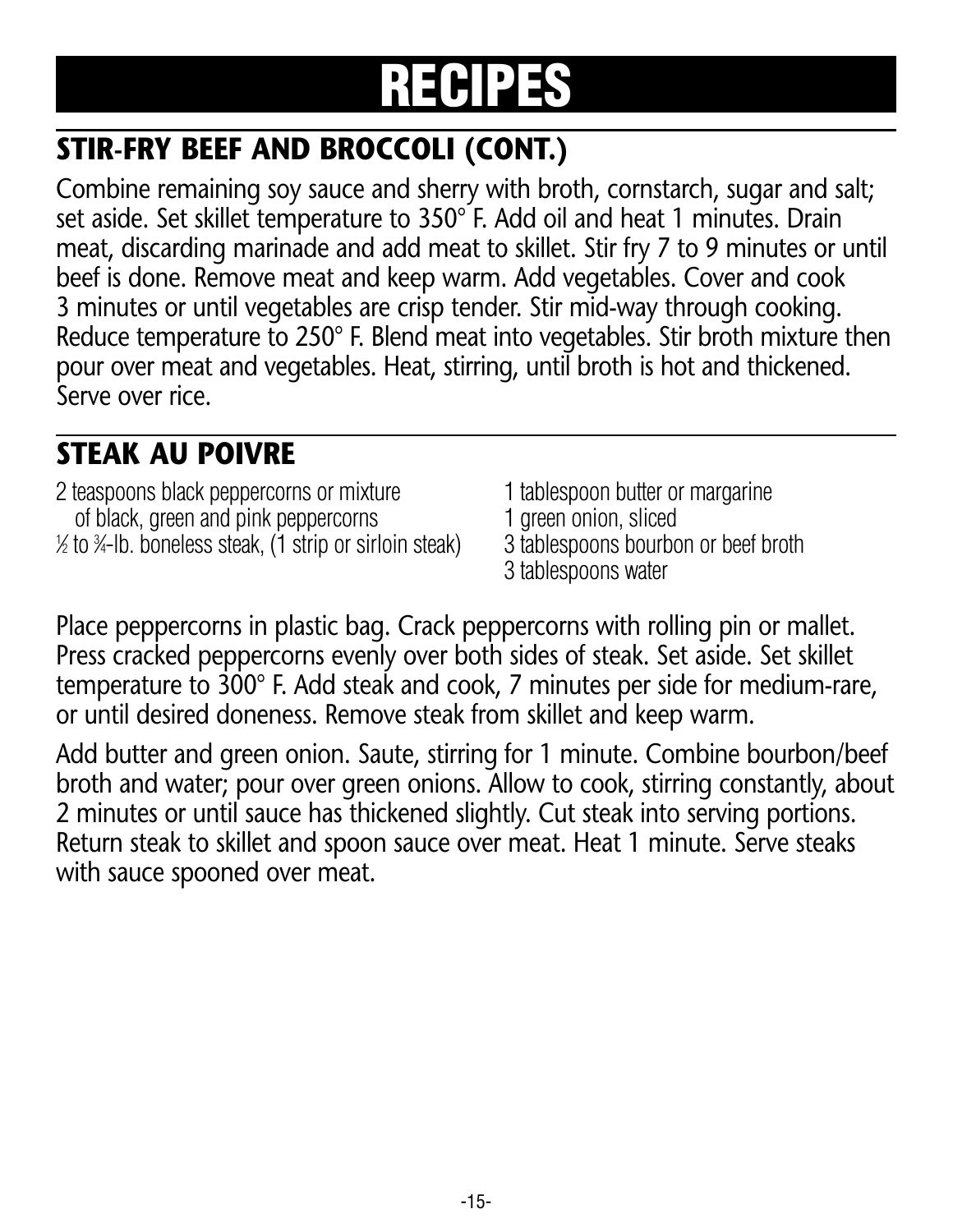### **STIR-FRY BEEF AND BROCCOLI (CONT.)**

Combine remaining soy sauce and sherry with broth, cornstarch, sugar and salt; set aside. Set skillet temperature to 350° F. Add oil and heat 1 minutes. Drain meat, discarding marinade and add meat to skillet. Stir fry 7 to 9 minutes or until beef is done. Remove meat and keep warm. Add vegetables. Cover and cook 3 minutes or until vegetables are crisp tender. Stir mid-way through cooking. Reduce temperature to 250° F. Blend meat into vegetables. Stir broth mixture then pour over meat and vegetables. Heat, stirring, until broth is hot and thickened. Serve over rice.

#### **STEAK AU POIVRE**

- 2 teaspoons black peppercorns or mixture 1 tablespoon butter or margarine of black, green and pink peppercorns 1 green onion, sliced 1 ⁄2 to <sup>3</sup> ⁄4-lb. boneless steak, (1 strip or sirloin steak) 3 tablespoons bourbon or beef broth
	-
	-
	- 3 tablespoons bourbon or beef broth<br>3 tablespoons water
	-

Place peppercorns in plastic bag. Crack peppercorns with rolling pin or mallet. Press cracked peppercorns evenly over both sides of steak. Set aside. Set skillet temperature to 300° F. Add steak and cook, 7 minutes per side for medium-rare, or until desired doneness. Remove steak from skillet and keep warm.

Add butter and green onion. Saute, stirring for 1 minute. Combine bourbon/beef broth and water; pour over green onions. Allow to cook, stirring constantly, about 2 minutes or until sauce has thickened slightly. Cut steak into serving portions. Return steak to skillet and spoon sauce over meat. Heat 1 minute. Serve steaks with sauce spooned over meat.